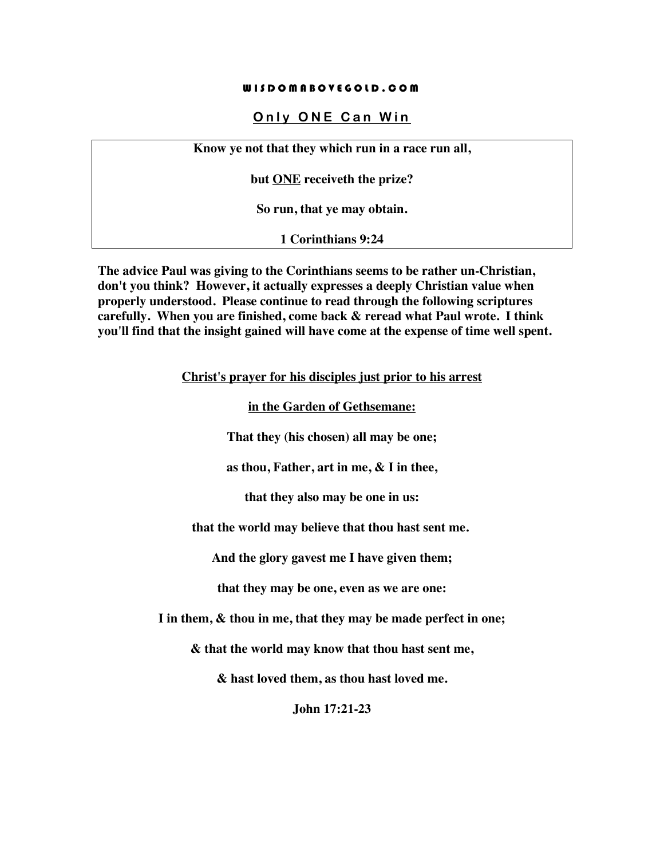#### WISDOMABOVEGOLD.COM

### **Only ONE Can Win**

**Know ye not that they which run in a race run all,** 

**but ONE receiveth the prize?** 

**So run, that ye may obtain.**

**1 Corinthians 9:24**

**The advice Paul was giving to the Corinthians seems to be rather un-Christian, don't you think? However, it actually expresses a deeply Christian value when properly understood. Please continue to read through the following scriptures carefully. When you are finished, come back & reread what Paul wrote. I think you'll find that the insight gained will have come at the expense of time well spent.**

**Christ's prayer for his disciples just prior to his arrest**

**in the Garden of Gethsemane:**

**That they (his chosen) all may be one;**

**as thou, Father, art in me, & I in thee,** 

**that they also may be one in us:**

**that the world may believe that thou hast sent me.**

**And the glory gavest me I have given them;** 

**that they may be one, even as we are one:**

**I in them, & thou in me, that they may be made perfect in one;**

**& that the world may know that thou hast sent me,** 

**& hast loved them, as thou hast loved me.**

**John 17:21-23**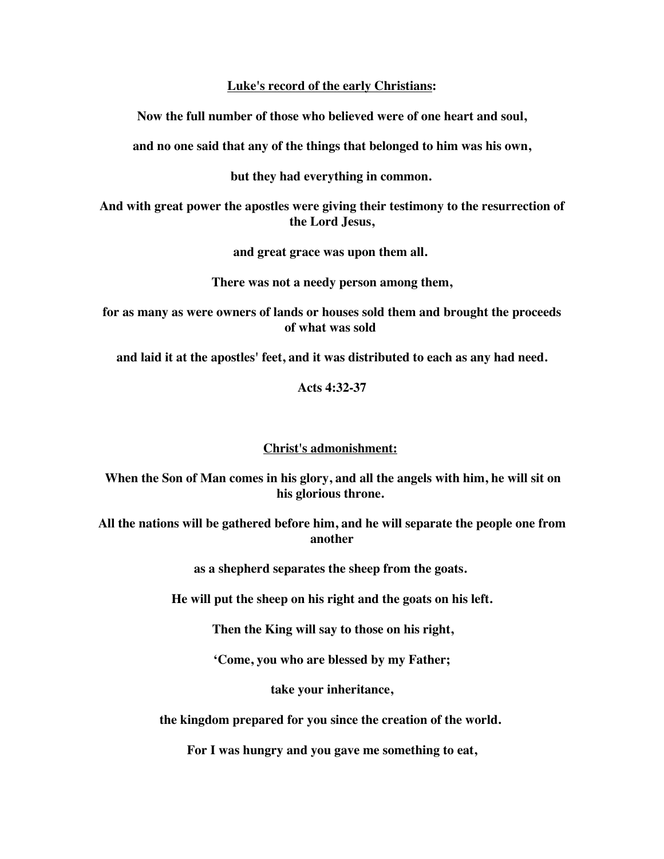**Luke's record of the early Christians:**

**Now the full number of those who believed were of one heart and soul,** 

**and no one said that any of the things that belonged to him was his own,** 

**but they had everything in common.**

**And with great power the apostles were giving their testimony to the resurrection of the Lord Jesus,** 

**and great grace was upon them all.**

**There was not a needy person among them,** 

**for as many as were owners of lands or houses sold them and brought the proceeds of what was sold**

**and laid it at the apostles' feet, and it was distributed to each as any had need.**

**Acts 4:32-37**

### **Christ's admonishment:**

**When the Son of Man comes in his glory, and all the angels with him, he will sit on his glorious throne.**

**All the nations will be gathered before him, and he will separate the people one from another** 

**as a shepherd separates the sheep from the goats.**

**He will put the sheep on his right and the goats on his left.**

**Then the King will say to those on his right,** 

**'Come, you who are blessed by my Father;** 

**take your inheritance,** 

**the kingdom prepared for you since the creation of the world.**

**For I was hungry and you gave me something to eat,**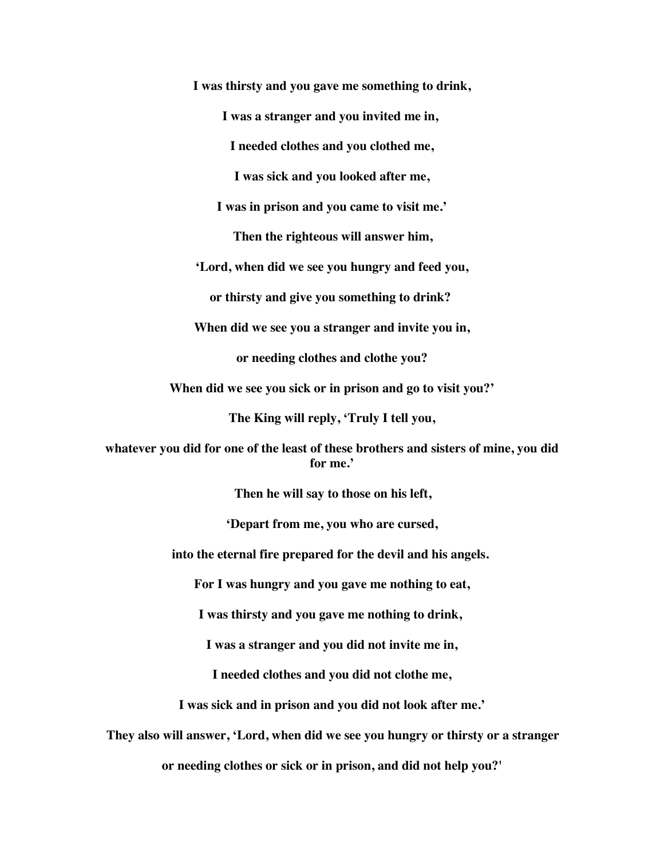**I was thirsty and you gave me something to drink, I was a stranger and you invited me in, I needed clothes and you clothed me, I was sick and you looked after me, I was in prison and you came to visit me.' Then the righteous will answer him, 'Lord, when did we see you hungry and feed you, or thirsty and give you something to drink? When did we see you a stranger and invite you in, or needing clothes and clothe you? When did we see you sick or in prison and go to visit you?' The King will reply, 'Truly I tell you, whatever you did for one of the least of these brothers and sisters of mine, you did for me.' Then he will say to those on his left, 'Depart from me, you who are cursed, into the eternal fire prepared for the devil and his angels. For I was hungry and you gave me nothing to eat, I was thirsty and you gave me nothing to drink, I was a stranger and you did not invite me in, I needed clothes and you did not clothe me, I was sick and in prison and you did not look after me.' They also will answer, 'Lord, when did we see you hungry or thirsty or a stranger or needing clothes or sick or in prison, and did not help you?'**